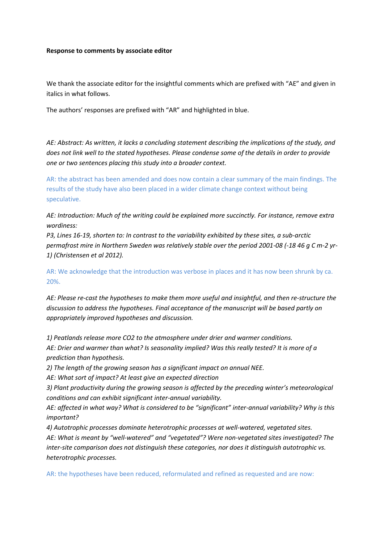#### **Response to comments by associate editor**

We thank the associate editor for the insightful comments which are prefixed with "AE" and given in italics in what follows.

The authors' responses are prefixed with "AR" and highlighted in blue.

*AE: Abstract: As written, it lacks a concluding statement describing the implications of the study, and does not link well to the stated hypotheses. Please condense some of the details in order to provide one or two sentences placing this study into a broader context.*

AR: the abstract has been amended and does now contain a clear summary of the main findings. The results of the study have also been placed in a wider climate change context without being speculative.

*AE: Introduction: Much of the writing could be explained more succinctly. For instance, remove extra wordiness:*

*P3, Lines 16-19, shorten to: In contrast to the variability exhibited by these sites, a sub-arctic permafrost mire in Northern Sweden was relatively stable over the period 2001-08 (-18 46 g C m-2 yr-1) (Christensen et al 2012).*

AR: We acknowledge that the introduction was verbose in places and it has now been shrunk by ca. 20%.

*AE: Please re-cast the hypotheses to make them more useful and insightful, and then re-structure the discussion to address the hypotheses. Final acceptance of the manuscript will be based partly on appropriately improved hypotheses and discussion.*

*1) Peatlands release more CO2 to the atmosphere under drier and warmer conditions. AE: Drier and warmer than what? Is seasonality implied? Was this really tested? It is more of a prediction than hypothesis.*

*2) The length of the growing season has a significant impact on annual NEE.* 

*AE: What sort of impact? At least give an expected direction*

*3) Plant productivity during the growing season is affected by the preceding winter's meteorological conditions and can exhibit significant inter-annual variability.* 

*AE: affected in what way? What is considered to be "significant" inter-annual variability? Why is this important?*

*4) Autotrophic processes dominate heterotrophic processes at well-watered, vegetated sites. AE: What is meant by "well-watered" and "vegetated"? Were non-vegetated sites investigated? The inter-site comparison does not distinguish these categories, nor does it distinguish autotrophic vs. heterotrophic processes.*

AR: the hypotheses have been reduced, reformulated and refined as requested and are now: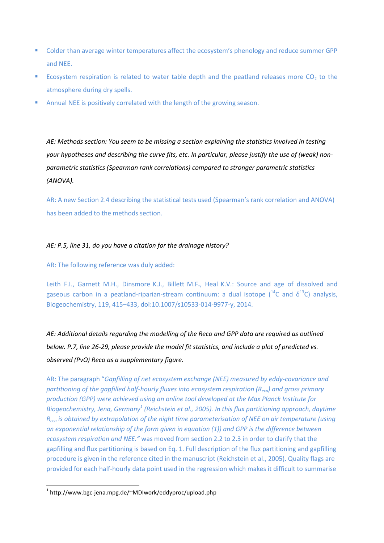- Colder than average winter temperatures affect the ecosystem's phenology and reduce summer GPP and NEE.
- Ecosystem respiration is related to water table depth and the peatland releases more  $CO<sub>2</sub>$  to the atmosphere during dry spells.
- Annual NEE is positively correlated with the length of the growing season.

*AE: Methods section: You seem to be missing a section explaining the statistics involved in testing your hypotheses and describing the curve fits, etc. In particular, please justify the use of (weak) nonparametric statistics (Spearman rank correlations) compared to stronger parametric statistics (ANOVA).* 

AR: A new Section 2.4 describing the statistical tests used (Spearman's rank correlation and ANOVA) has been added to the methods section.

### *AE: P.5, line 31, do you have a citation for the drainage history?*

AR: The following reference was duly added:

Leith F.I., Garnett M.H., Dinsmore K.J., Billett M.F**.**, Heal K.V.: Source and age of dissolved and gaseous carbon in a peatland-riparian-stream continuum: a dual isotope  $1^{4}C$  and  $\delta^{13}C$ ) analysis, Biogeochemistry, 119, 415–433, doi:10.1007/s10533-014-9977-y, 2014.

*AE: Additional details regarding the modelling of the Reco and GPP data are required as outlined below. P.7, line 26-29, please provide the model fit statistics, and include a plot of predicted vs. observed (PvO) Reco as a supplementary figure.* 

AR: The paragraph "*Gapfilling of net ecosystem exchange (NEE) measured by eddy-covariance and partitioning of the gapfilled half-hourly fluxes into ecosystem respiration (Reco) and gross primary production (GPP) were achieved using an online tool developed at the Max Planck Institute for Biogeochemistry, Jena, Germany<sup>1</sup> (Reichstein et al., 2005). In this flux partitioning approach, daytime Reco is obtained by extrapolation of the night time parameterisation of NEE on air temperature (using an exponential relationship of the form given in equation (1)) and GPP is the difference between ecosystem respiration and NEE."* was moved from section 2.2 to 2.3 in order to clarify that the gapfilling and flux partitioning is based on Eq. 1. Full description of the flux partitioning and gapfilling procedure is given in the reference cited in the manuscript (Reichstein et al., 2005). Quality flags are provided for each half-hourly data point used in the regression which makes it difficult to summarise

**.** 

<sup>1</sup> http://www.bgc-jena.mpg.de/~MDIwork/eddyproc/upload.php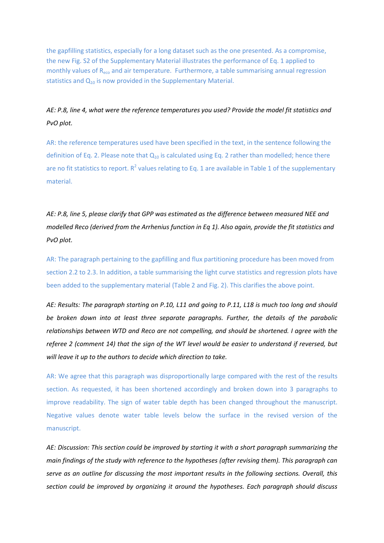the gapfilling statistics, especially for a long dataset such as the one presented. As a compromise, the new Fig. S2 of the Supplementary Material illustrates the performance of Eq. 1 applied to monthly values of  $R_{\text{eco}}$  and air temperature. Furthermore, a table summarising annual regression statistics and  $Q_{10}$  is now provided in the Supplementary Material.

# *AE: P.8, line 4, what were the reference temperatures you used? Provide the model fit statistics and PvO plot.*

AR: the reference temperatures used have been specified in the text, in the sentence following the definition of Eq. 2. Please note that  $Q_{10}$  is calculated using Eq. 2 rather than modelled; hence there are no fit statistics to report. R<sup>2</sup> values relating to Eq. 1 are available in Table 1 of the supplementary material.

*AE: P.8, line 5, please clarify that GPP was estimated as the difference between measured NEE and modelled Reco (derived from the Arrhenius function in Eq 1). Also again, provide the fit statistics and PvO plot.*

AR: The paragraph pertaining to the gapfilling and flux partitioning procedure has been moved from section 2.2 to 2.3. In addition, a table summarising the light curve statistics and regression plots have been added to the supplementary material (Table 2 and Fig. 2). This clarifies the above point.

*AE: Results: The paragraph starting on P.10, L11 and going to P.11, L18 is much too long and should be broken down into at least three separate paragraphs. Further, the details of the parabolic relationships between WTD and Reco are not compelling, and should be shortened. I agree with the referee 2 (comment 14) that the sign of the WT level would be easier to understand if reversed, but will leave it up to the authors to decide which direction to take.*

AR: We agree that this paragraph was disproportionally large compared with the rest of the results section. As requested, it has been shortened accordingly and broken down into 3 paragraphs to improve readability. The sign of water table depth has been changed throughout the manuscript. Negative values denote water table levels below the surface in the revised version of the manuscript.

*AE: Discussion: This section could be improved by starting it with a short paragraph summarizing the main findings of the study with reference to the hypotheses (after revising them). This paragraph can serve as an outline for discussing the most important results in the following sections. Overall, this section could be improved by organizing it around the hypotheses. Each paragraph should discuss*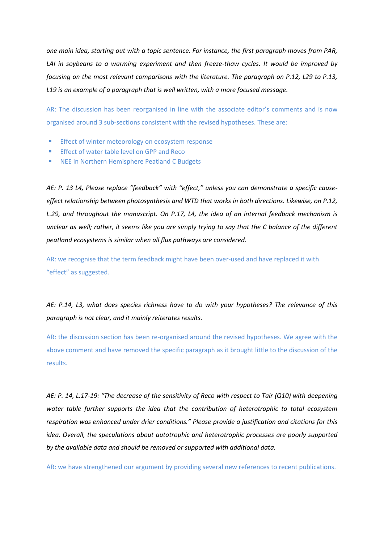*one main idea, starting out with a topic sentence. For instance, the first paragraph moves from PAR,*  LAI in soybeans to a warming experiment and then freeze-thaw cycles. It would be improved by *focusing on the most relevant comparisons with the literature. The paragraph on P.12, L29 to P.13, L19 is an example of a paragraph that is well written, with a more focused message.* 

AR: The discussion has been reorganised in line with the associate editor's comments and is now organised around 3 sub-sections consistent with the revised hypotheses. These are:

- **Effect of winter meteorology on ecosystem response**
- **Effect of water table level on GPP and Reco**
- NEE in Northern Hemisphere Peatland C Budgets

*AE: P. 13 L4, Please replace "feedback" with "effect," unless you can demonstrate a specific causeeffect relationship between photosynthesis and WTD that works in both directions. Likewise, on P.12, L.29, and throughout the manuscript. On P.17, L4, the idea of an internal feedback mechanism is unclear as well; rather, it seems like you are simply trying to say that the C balance of the different peatland ecosystems is similar when all flux pathways are considered.* 

AR: we recognise that the term feedback might have been over-used and have replaced it with "effect" as suggested.

*AE: P.14, L3, what does species richness have to do with your hypotheses? The relevance of this paragraph is not clear, and it mainly reiterates results.*

AR: the discussion section has been re-organised around the revised hypotheses. We agree with the above comment and have removed the specific paragraph as it brought little to the discussion of the results.

*AE: P. 14, L.17-19: "The decrease of the sensitivity of Reco with respect to Tair (Q10) with deepening water table further supports the idea that the contribution of heterotrophic to total ecosystem respiration was enhanced under drier conditions." Please provide a justification and citations for this idea. Overall, the speculations about autotrophic and heterotrophic processes are poorly supported by the available data and should be removed or supported with additional data.*

AR: we have strengthened our argument by providing several new references to recent publications.